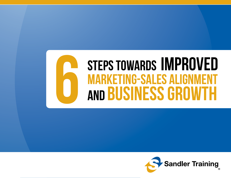## STEPS TOWARDS IMPROVED **MARKETING-SALES ALIGNN** and Business Growth

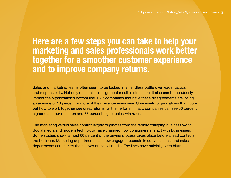#### **Here are a few steps you can take to help your marketing and sales professionals work better together for a smoother customer experience and to improve company returns.**

Sales and marketing teams often seem to be locked in an endless battle over leads, tactics and responsibility. Not only does this misalignment result in stress, but it also can tremendously impact the organization's bottom line. B2B companies that have these disagreements are losing an average of 10 percent or more of their revenue every year. Conversely, organizations that figure out how to work together see great returns for their efforts. In fact, companies can see 36 percent higher customer retention and 38 percent higher sales-win rates.

The marketing versus sales conflict largely originates from the rapidly changing business world. Social media and modern technology have changed how consumers interact with businesses. Some studies show, almost 60 percent of the buying process takes place before a lead contacts the business. Marketing departments can now engage prospects in conversations, and sales departments can market themselves on social media. The lines have officially been blurred.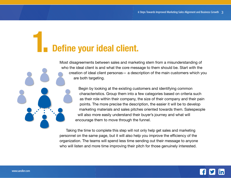# **1. Define your ideal client.**

Most disagreements between sales and marketing stem from a misunderstanding of who the ideal client is and what the core message to them should be. Start with the creation of ideal client personas— a description of the main customers which you are both targeting.

> Begin by looking at the existing customers and identifying common characteristics. Group them into a few categories based on criteria such as their role within their company, the size of their company and their pain points. The more precise the description, the easier it will be to develop marketing materials and sales pitches oriented towards them. Salespeople will also more easily understand their buyer's journey and what will encourage them to move through the funnel.

Taking the time to complete this step will not only help get sales and marketing personnel on the same page, but it will also help you improve the efficiency of the organization. The teams will spend less time sending out their message to anyone who will listen and more time improving their pitch for those genuinely interested.

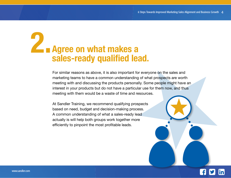#### **Agree on what makes a sales-ready qualified lead. 2.**

For similar reasons as above, it is also important for everyone on the sales and marketing teams to have a common understanding of what prospects are worth meeting with and discussing the products personally. Some people might have an interest in your products but do not have a particular use for them now, and thus meeting with them would be a waste of time and resources.

At Sandler Training, we recommend qualifying prospects based on need, budget and decision-making process. A common understanding of what a sales-ready lead actually is will help both groups work together more efficiently to pinpoint the most profitable leads.

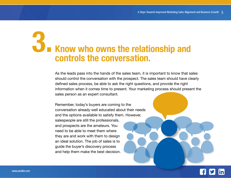### **Know who owns the relationship and controls the conversation. 3.**

As the leads pass into the hands of the sales team, it is important to know that sales should control the conversation with the prospect. The sales team should have clearly defined sales process, be able to ask the right questions, and provide the right information when it comes time to present. Your marketing process should present the sales person as an expert consultant.

Remember, today's buyers are coming to the conversation already well educated about their needs and the options available to satisfy them. However, salespeople are still the professionals, and prospects are the amateurs. You need to be able to meet them where they are and work with them to design an ideal solution. The job of sales is to guide the buyer's discovery process and help them make the best decision.

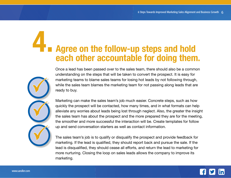## **Agree on the follow-up steps and hold each other accountable for doing them. 4.**

Once a lead has been passed over to the sales team, there should also be a common understanding on the steps that will be taken to convert the prospect. It is easy for marketing teams to blame sales teams for losing hot leads by not following through, while the sales team blames the marketing team for not passing along leads that are ready to buy.

Marketing can make the sales team's job much easier. Concrete steps, such as how quickly the prospect will be contacted, how many times, and in what formats can help alleviate any worries about leads being lost through neglect. Also, the greater the insight the sales team has about the prospect and the more prepared they are for the meeting, the smoother and more successful the interaction will be. Create templates for follow up and send conversation starters as well as contact information.

The sales team's job is to qualify or disqualify the prospect and provide feedback for marketing. If the lead is qualified, they should report back and pursue the sale. If the lead is disqualified, they should cease all efforts, and return the lead to marketing for more nurturing. Closing the loop on sales leads allows the company to improve its marketing.

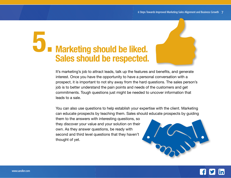## **Marketing should be liked. Sales should be respected. 5.**

It's marketing's job to attract leads, talk up the features and benefits, and generate interest. Once you have the opportunity to have a personal conversation with a prospect, it is important to not shy away from the hard questions. The sales person's job is to better understand the pain points and needs of the customers and get commitments. Tough questions just might be needed to uncover information that leads to a sale.

You can also use questions to help establish your expertise with the client. Marketing can educate prospects by teaching them. Sales should educate prospects by guiding

them to the answers with interesting questions, so they discover your value and your solution on their own. As they answer questions, be ready with second and third level questions that they haven't thought of yet.



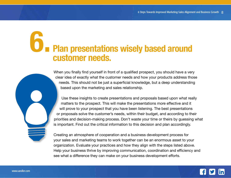#### **Plan presentations wisely based around customer needs. 6.**

When you finally find yourself in front of a qualified prospect, you should have a very clear idea of exactly what the customer needs and how your products address those needs. This should not be just a superficial knowledge, but a deep understanding based upon the marketing and sales relationship.

Use these insights to create presentations and proposals based upon what really matters to the prospect. This will make the presentations more effective and it will prove to your prospect that you have been listening. The best presentations or proposals solve the customer's needs, within their budget, and according to their priorities and decision-making process. Don't waste your time or theirs by guessing what is important. Find out the critical information to this decision and plan accordingly.

Creating an atmosphere of cooperation and a business development process for your sales and marketing teams to work together can be an enormous asset to your organization. Evaluate your practices and how they align with the steps listed above. Help your business thrive by improving communication, coordination and efficiency and see what a difference they can make on your business development efforts.